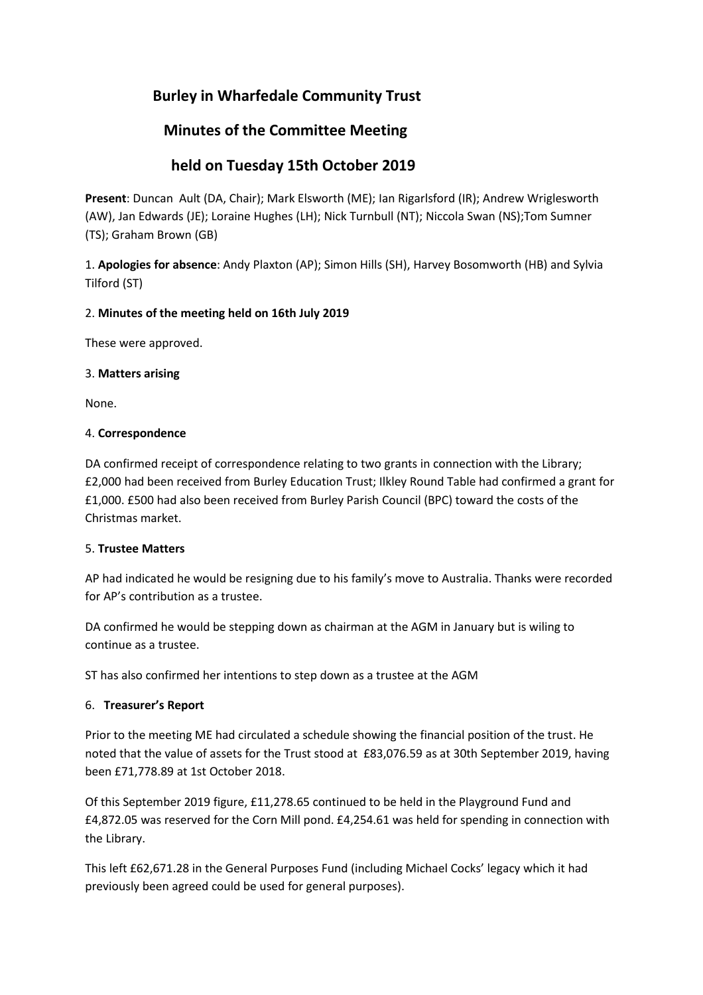# **Burley in Wharfedale Community Trust**

# **Minutes of the Committee Meeting**

# **held on Tuesday 15th October 2019**

**Present**: Duncan Ault (DA, Chair); Mark Elsworth (ME); Ian Rigarlsford (IR); Andrew Wriglesworth (AW), Jan Edwards (JE); Loraine Hughes (LH); Nick Turnbull (NT); Niccola Swan (NS);Tom Sumner (TS); Graham Brown (GB)

1. **Apologies for absence**: Andy Plaxton (AP); Simon Hills (SH), Harvey Bosomworth (HB) and Sylvia Tilford (ST)

# 2. **Minutes of the meeting held on 16th July 2019**

These were approved.

# 3. **Matters arising**

None.

# 4. **Correspondence**

DA confirmed receipt of correspondence relating to two grants in connection with the Library; £2,000 had been received from Burley Education Trust; Ilkley Round Table had confirmed a grant for £1,000. £500 had also been received from Burley Parish Council (BPC) toward the costs of the Christmas market.

# 5. **Trustee Matters**

AP had indicated he would be resigning due to his family's move to Australia. Thanks were recorded for AP's contribution as a trustee.

DA confirmed he would be stepping down as chairman at the AGM in January but is wiling to continue as a trustee.

ST has also confirmed her intentions to step down as a trustee at the AGM

# 6. **Treasurer's Report**

Prior to the meeting ME had circulated a schedule showing the financial position of the trust. He noted that the value of assets for the Trust stood at £83,076.59 as at 30th September 2019, having been £71,778.89 at 1st October 2018.

Of this September 2019 figure, £11,278.65 continued to be held in the Playground Fund and £4,872.05 was reserved for the Corn Mill pond. £4,254.61 was held for spending in connection with the Library.

This left £62,671.28 in the General Purposes Fund (including Michael Cocks' legacy which it had previously been agreed could be used for general purposes).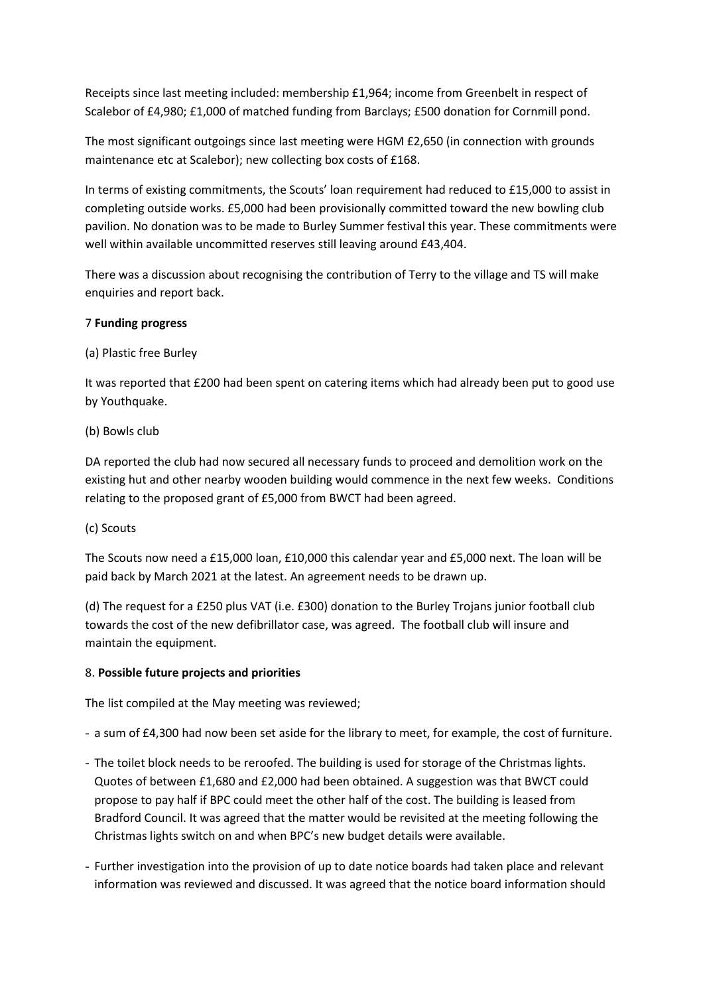Receipts since last meeting included: membership £1,964; income from Greenbelt in respect of Scalebor of £4,980; £1,000 of matched funding from Barclays; £500 donation for Cornmill pond.

The most significant outgoings since last meeting were HGM £2,650 (in connection with grounds maintenance etc at Scalebor); new collecting box costs of £168.

In terms of existing commitments, the Scouts' loan requirement had reduced to £15,000 to assist in completing outside works. £5,000 had been provisionally committed toward the new bowling club pavilion. No donation was to be made to Burley Summer festival this year. These commitments were well within available uncommitted reserves still leaving around £43,404.

There was a discussion about recognising the contribution of Terry to the village and TS will make enquiries and report back.

## 7 **Funding progress**

(a) Plastic free Burley

It was reported that £200 had been spent on catering items which had already been put to good use by Youthquake.

## (b) Bowls club

DA reported the club had now secured all necessary funds to proceed and demolition work on the existing hut and other nearby wooden building would commence in the next few weeks. Conditions relating to the proposed grant of £5,000 from BWCT had been agreed.

#### (c) Scouts

The Scouts now need a £15,000 loan, £10,000 this calendar year and £5,000 next. The loan will be paid back by March 2021 at the latest. An agreement needs to be drawn up.

(d) The request for a £250 plus VAT (i.e. £300) donation to the Burley Trojans junior football club towards the cost of the new defibrillator case, was agreed. The football club will insure and maintain the equipment.

# 8. **Possible future projects and priorities**

The list compiled at the May meeting was reviewed;

- a sum of £4,300 had now been set aside for the library to meet, for example, the cost of furniture.
- The toilet block needs to be reroofed. The building is used for storage of the Christmas lights. Quotes of between £1,680 and £2,000 had been obtained. A suggestion was that BWCT could propose to pay half if BPC could meet the other half of the cost. The building is leased from Bradford Council. It was agreed that the matter would be revisited at the meeting following the Christmas lights switch on and when BPC's new budget details were available.
- Further investigation into the provision of up to date notice boards had taken place and relevant information was reviewed and discussed. It was agreed that the notice board information should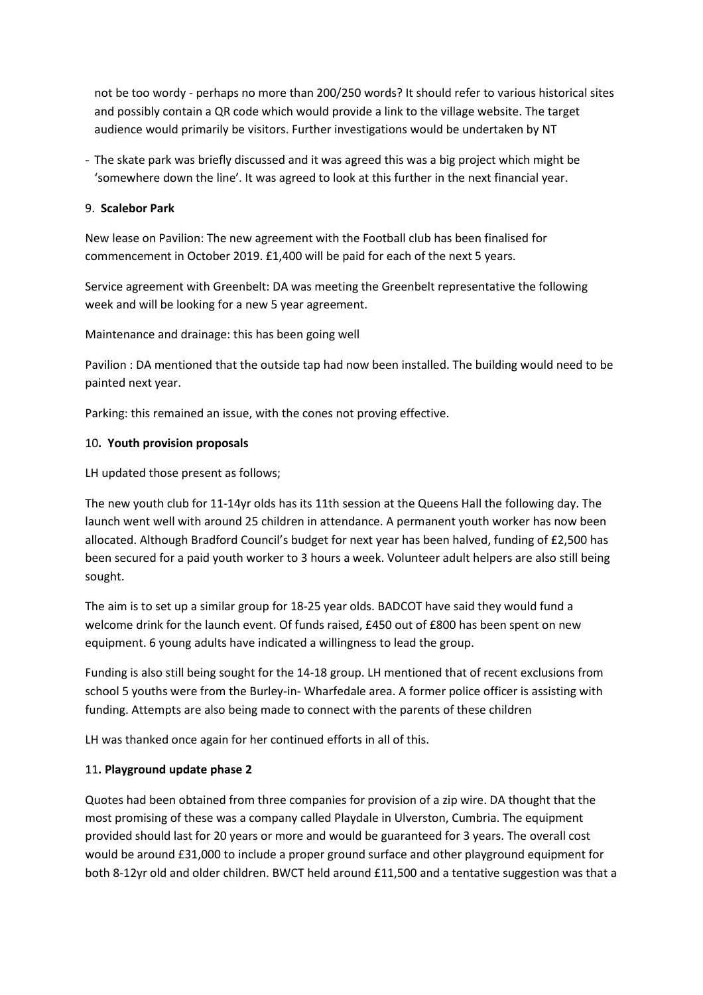not be too wordy - perhaps no more than 200/250 words? It should refer to various historical sites and possibly contain a QR code which would provide a link to the village website. The target audience would primarily be visitors. Further investigations would be undertaken by NT

- The skate park was briefly discussed and it was agreed this was a big project which might be 'somewhere down the line'. It was agreed to look at this further in the next financial year.

#### 9. **Scalebor Park**

New lease on Pavilion: The new agreement with the Football club has been finalised for commencement in October 2019. £1,400 will be paid for each of the next 5 years.

Service agreement with Greenbelt: DA was meeting the Greenbelt representative the following week and will be looking for a new 5 year agreement.

Maintenance and drainage: this has been going well

Pavilion : DA mentioned that the outside tap had now been installed. The building would need to be painted next year.

Parking: this remained an issue, with the cones not proving effective.

## 10**. Youth provision proposals**

LH updated those present as follows;

The new youth club for 11-14yr olds has its 11th session at the Queens Hall the following day. The launch went well with around 25 children in attendance. A permanent youth worker has now been allocated. Although Bradford Council's budget for next year has been halved, funding of £2,500 has been secured for a paid youth worker to 3 hours a week. Volunteer adult helpers are also still being sought.

The aim is to set up a similar group for 18-25 year olds. BADCOT have said they would fund a welcome drink for the launch event. Of funds raised, £450 out of £800 has been spent on new equipment. 6 young adults have indicated a willingness to lead the group.

Funding is also still being sought for the 14-18 group. LH mentioned that of recent exclusions from school 5 youths were from the Burley-in- Wharfedale area. A former police officer is assisting with funding. Attempts are also being made to connect with the parents of these children

LH was thanked once again for her continued efforts in all of this.

#### 11**. Playground update phase 2**

Quotes had been obtained from three companies for provision of a zip wire. DA thought that the most promising of these was a company called Playdale in Ulverston, Cumbria. The equipment provided should last for 20 years or more and would be guaranteed for 3 years. The overall cost would be around £31,000 to include a proper ground surface and other playground equipment for both 8-12yr old and older children. BWCT held around £11,500 and a tentative suggestion was that a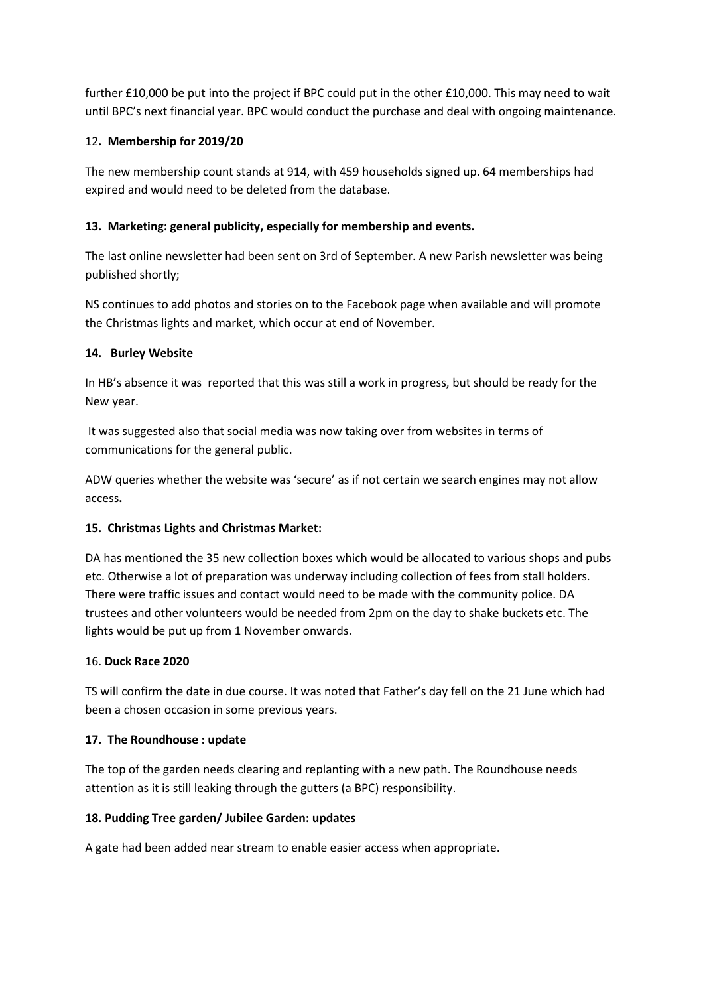further £10,000 be put into the project if BPC could put in the other £10,000. This may need to wait until BPC's next financial year. BPC would conduct the purchase and deal with ongoing maintenance.

# 12**. Membership for 2019/20**

The new membership count stands at 914, with 459 households signed up. 64 memberships had expired and would need to be deleted from the database.

# **13. Marketing: general publicity, especially for membership and events.**

The last online newsletter had been sent on 3rd of September. A new Parish newsletter was being published shortly;

NS continues to add photos and stories on to the Facebook page when available and will promote the Christmas lights and market, which occur at end of November.

# **14. Burley Website**

In HB's absence it was reported that this was still a work in progress, but should be ready for the New year.

It was suggested also that social media was now taking over from websites in terms of communications for the general public.

ADW queries whether the website was 'secure' as if not certain we search engines may not allow access**.**

# **15. Christmas Lights and Christmas Market:**

DA has mentioned the 35 new collection boxes which would be allocated to various shops and pubs etc. Otherwise a lot of preparation was underway including collection of fees from stall holders. There were traffic issues and contact would need to be made with the community police. DA trustees and other volunteers would be needed from 2pm on the day to shake buckets etc. The lights would be put up from 1 November onwards.

# 16. **Duck Race 2020**

TS will confirm the date in due course. It was noted that Father's day fell on the 21 June which had been a chosen occasion in some previous years.

# **17. The Roundhouse : update**

The top of the garden needs clearing and replanting with a new path. The Roundhouse needs attention as it is still leaking through the gutters (a BPC) responsibility.

# **18. Pudding Tree garden/ Jubilee Garden: updates**

A gate had been added near stream to enable easier access when appropriate.